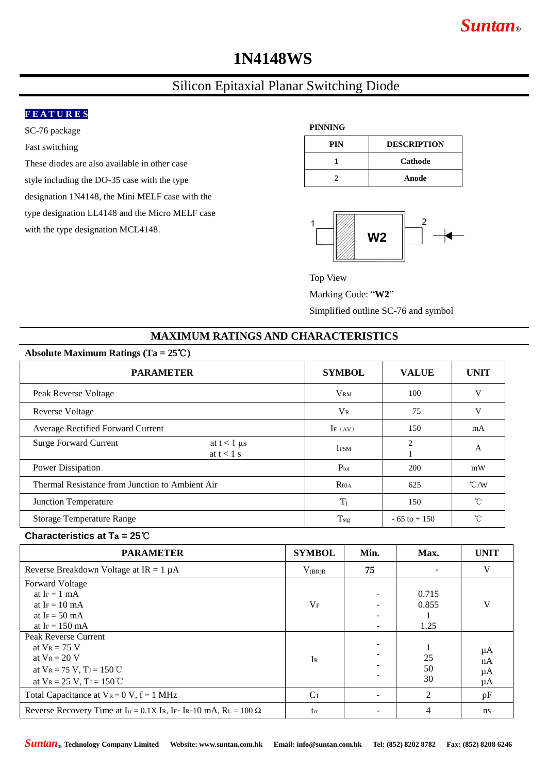# *Suntan***®**

## **1N4148WS**

## Silicon Epitaxial Planar Switching Diode

### **F E A T U R E S**

SC-76 package

Fast switching

These diodes are also available in other case style including the DO-35 case with the type designation 1N4148, the Mini MELF case with the type designation LL4148 and the Micro MELF case with the type designation MCL4148.

## **PINNING**

| PIN | <b>DESCRIPTION</b> |  |  |  |
|-----|--------------------|--|--|--|
|     | Cathode            |  |  |  |
|     | Anode              |  |  |  |



Top View

Marking Code: "**W2**"

Simplified outline SC-76 and symbol

## **MAXIMUM RATINGS AND CHARACTERISTICS**

| Absolute Maximum Ratings (Ta = $25^{\circ}$ C)                |                  |                 |                    |  |  |  |  |
|---------------------------------------------------------------|------------------|-----------------|--------------------|--|--|--|--|
| <b>PARAMETER</b>                                              | <b>SYMBOL</b>    | <b>VALUE</b>    | <b>UNIT</b>        |  |  |  |  |
| Peak Reverse Voltage                                          | <b>VRM</b>       | 100             | V                  |  |  |  |  |
| Reverse Voltage                                               | $V_{R}$          | 75              | V                  |  |  |  |  |
| Average Rectified Forward Current                             | IF $(AV)$        | 150             | mA                 |  |  |  |  |
| <b>Surge Forward Current</b><br>at $t < 1$ µs<br>at $t < 1$ s | <b>IFSM</b>      | 2               | A                  |  |  |  |  |
| Power Dissipation                                             | $P_{\text{tot}}$ | 200             | mW                 |  |  |  |  |
| Thermal Resistance from Junction to Ambient Air               | $R_{\theta JA}$  | 625             | $\rm ^{\circ}$ C/W |  |  |  |  |
| Junction Temperature                                          | $T_i$            | 150             | °C                 |  |  |  |  |
| <b>Storage Temperature Range</b>                              | $T_{\rm{stg}}$   | $-65$ to $+150$ | °C                 |  |  |  |  |

#### **Characteristics at Ta = 25**℃

| <b>PARAMETER</b>                                                                                                                        | <b>SYMBOL</b> | Min. | Max.                   | <b>UNIT</b>          |
|-----------------------------------------------------------------------------------------------------------------------------------------|---------------|------|------------------------|----------------------|
| Reverse Breakdown Voltage at $IR = 1 \mu A$                                                                                             | $V_{(BR)R}$   | 75   |                        | V                    |
| <b>Forward Voltage</b><br>at $I_F = 1$ mA<br>at $I_F = 10$ mA<br>at I <sub>F</sub> = $50 \text{ mA}$<br>at I $F = 150$ mA               | $V_{\rm F}$   | -    | 0.715<br>0.855<br>1.25 | V                    |
| Peak Reverse Current<br>at $V_R = 75$ V<br>at $V_R = 20 V$<br>at $V_R = 75$ V, $T_J = 150$ °C<br>at $V_R = 25 V$ , $T_J = 150^{\circ}C$ | IR            |      | 25<br>50<br>30         | μA<br>nA<br>μA<br>μA |
| Total Capacitance at $V_R = 0 V$ , $f = 1 MHz$                                                                                          | $C_T$         |      | 2                      | pF                   |
| Reverse Recovery Time at $I_{rr} = 0.1X$ Ir, IF= Ir=10 mA, RL = 100 $\Omega$                                                            | tr            |      | 4                      | ns                   |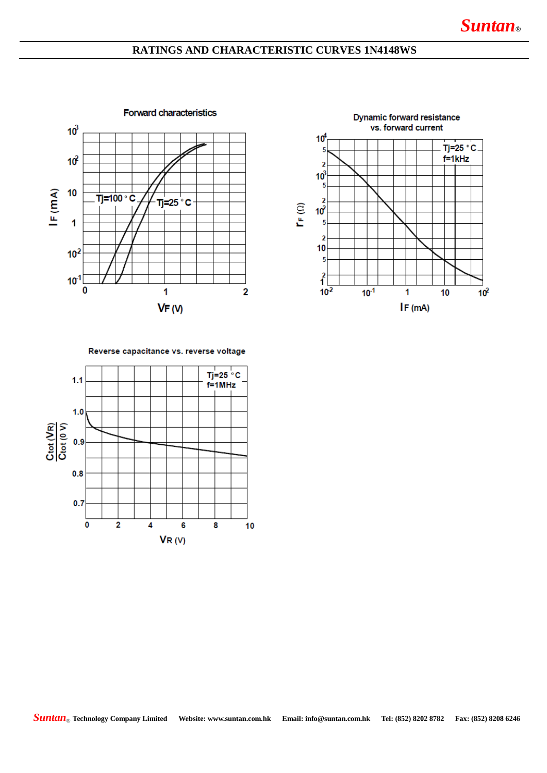## **RATINGS AND CHARACTERISTIC CURVES 1N4148WS**





Reverse capacitance vs. reverse voltage